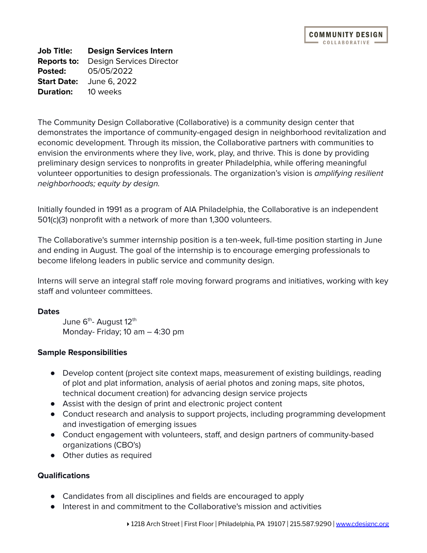**Job Title: Design Services Intern Reports to:** Design Services Director **Posted:** 05/05/2022 **Start Date:** June 6, 2022 **Duration:** 10 weeks

The Community Design Collaborative (Collaborative) is a community design center that demonstrates the importance of community-engaged design in neighborhood revitalization and economic development. Through its mission, the Collaborative partners with communities to envision the environments where they live, work, play, and thrive. This is done by providing preliminary design services to nonprofits in greater Philadelphia, while offering meaningful volunteer opportunities to design professionals. The organization's vision is amplifying resilient neighborhoods; equity by design.

Initially founded in 1991 as a program of AIA Philadelphia, the Collaborative is an independent 501(c)(3) nonprofit with a network of more than 1,300 volunteers.

The Collaborative's summer internship position is a ten-week, full-time position starting in June and ending in August. The goal of the internship is to encourage emerging professionals to become lifelong leaders in public service and community design.

Interns will serve an integral staff role moving forward programs and initiatives, working with key staff and volunteer committees.

# **Dates**

June 6<sup>th</sup>- August 12<sup>th</sup> Monday- Friday; 10 am – 4:30 pm

# **Sample Responsibilities**

- Develop content (project site context maps, measurement of existing buildings, reading of plot and plat information, analysis of aerial photos and zoning maps, site photos, technical document creation) for advancing design service projects
- Assist with the design of print and electronic project content
- Conduct research and analysis to support projects, including programming development and investigation of emerging issues
- Conduct engagement with volunteers, staff, and design partners of community-based organizations (CBO's)
- Other duties as required

# **Qualifications**

- Candidates from all disciplines and fields are encouraged to apply
- Interest in and commitment to the Collaborative's mission and activities